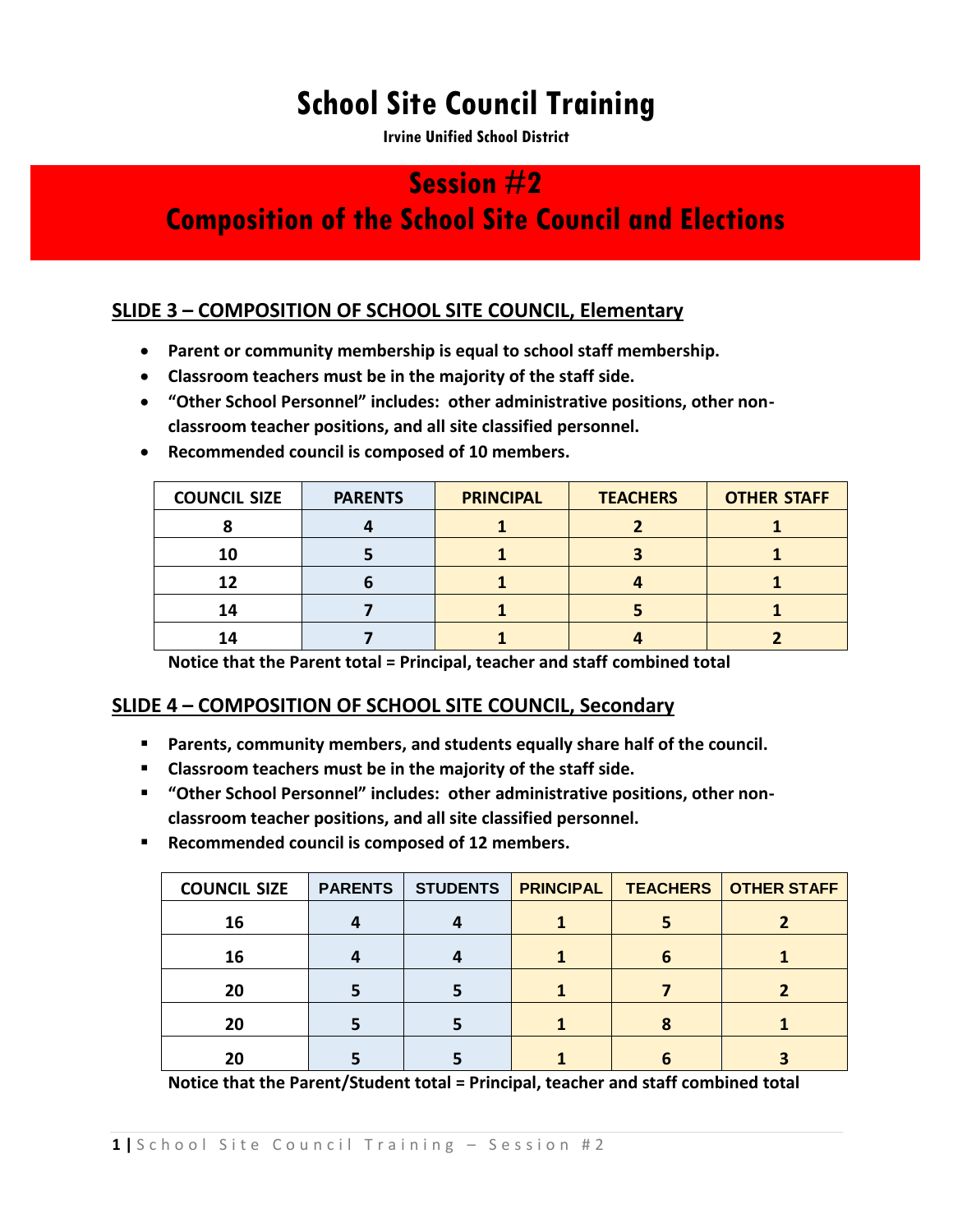# **School Site Council Training**

**Irvine Unified School District** 

# **Session #2**

# **Composition of the School Site Council and Elections**

## **SLIDE 3 – COMPOSITION OF SCHOOL SITE COUNCIL, Elementary**

- **Parent or community membership is equal to school staff membership.**
- **Classroom teachers must be in the majority of the staff side.**
- **"Other School Personnel" includes: other administrative positions, other nonclassroom teacher positions, and all site classified personnel.**

| <b>COUNCIL SIZE</b> | <b>PARENTS</b> | <b>PRINCIPAL</b> | <b>TEACHERS</b> | <b>OTHER STAFF</b> |
|---------------------|----------------|------------------|-----------------|--------------------|
|                     |                |                  |                 |                    |
| 10                  |                |                  |                 |                    |
| 12                  |                |                  |                 |                    |
| 14                  |                |                  |                 |                    |
|                     |                |                  |                 |                    |

**Recommended council is composed of 10 members.**

**Notice that the Parent total = Principal, teacher and staff combined total**

#### **SLIDE 4 – COMPOSITION OF SCHOOL SITE COUNCIL, Secondary**

- **Parents, community members, and students equally share half of the council.**
- **Classroom teachers must be in the majority of the staff side.**
- **"Other School Personnel" includes: other administrative positions, other nonclassroom teacher positions, and all site classified personnel.**
- **Recommended council is composed of 12 members.**

| <b>COUNCIL SIZE</b> | <b>PARENTS</b> | <b>STUDENTS</b> | <b>PRINCIPAL</b> |   | <b>TEACHERS   OTHER STAFF</b> |
|---------------------|----------------|-----------------|------------------|---|-------------------------------|
| 16                  |                |                 |                  |   |                               |
| 16                  |                |                 |                  | 6 |                               |
| 20                  |                |                 |                  |   |                               |
| 20                  |                |                 |                  |   |                               |
| 20                  |                |                 |                  |   |                               |

**Notice that the Parent/Student total = Principal, teacher and staff combined total**